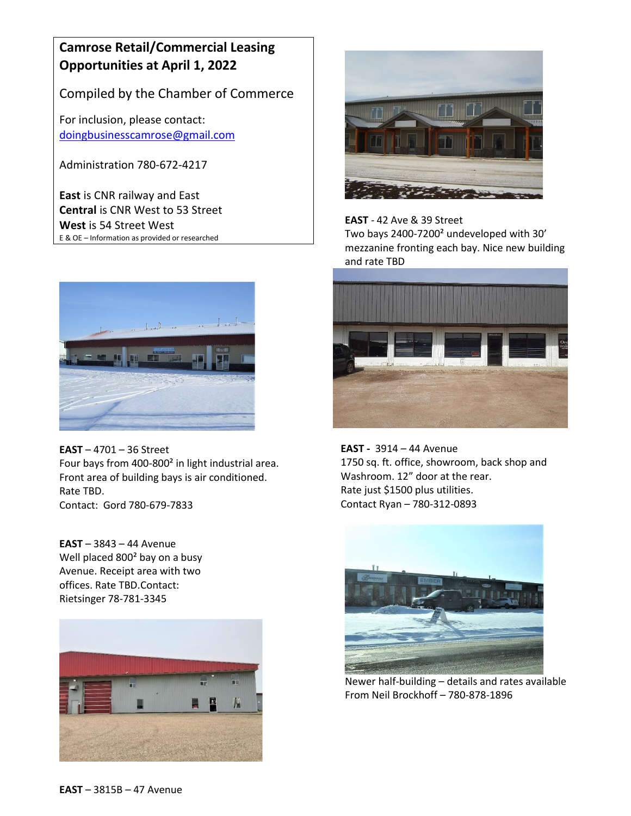# **Camrose Retail/Commercial Leasing Opportunities at April 1, 2022**

Compiled by the Chamber of Commerce

For inclusion, please contact: [doingbusinesscamrose@gmail.com](mailto:doingbusinesscamrose@gmail.com)

Administration 780-672-4217

**East** is CNR railway and East **Central** is CNR West to 53 Street **West** is 54 Street West E & OE – Information as provided or researched



**EAST** – 4701 – 36 Street Four bays from 400-800² in light industrial area. Front area of building bays is air conditioned. Rate TBD. Contact: Gord 780-679-7833

**EAST** – 3843 – 44 Avenue Well placed 800² bay on a busy Avenue. Receipt area with two offices. Rate TBD.Contact: Rietsinger 78-781-3345





**EAST** - 42 Ave & 39 Street Two bays 2400-7200² undeveloped with 30' mezzanine fronting each bay. Nice new building and rate TBD



 **EAST -** 3914 – 44 Avenue 1750 sq. ft. office, showroom, back shop and Washroom. 12" door at the rear. Rate just \$1500 plus utilities. Contact Ryan – 780-312-0893



Newer half-building – details and rates available From Neil Brockhoff – 780-878-1896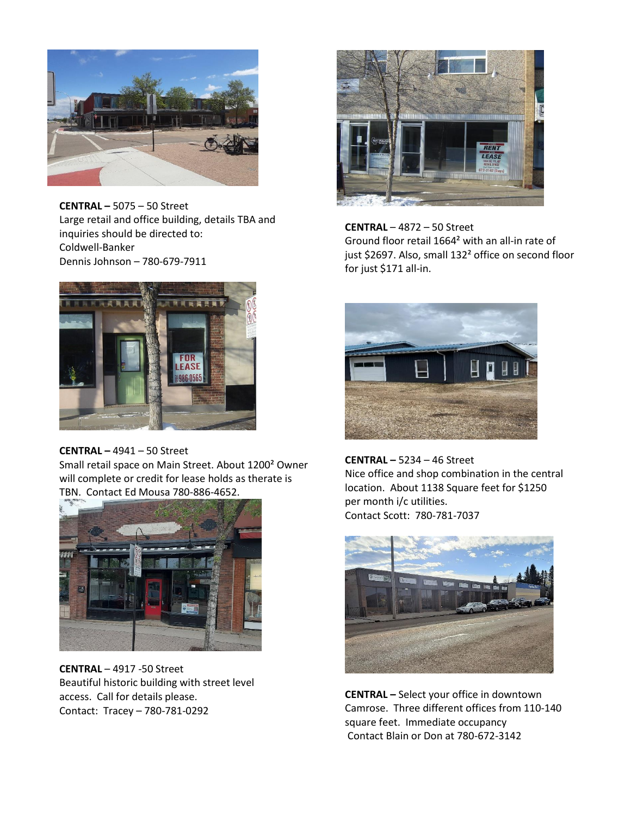

**CENTRAL –** 5075 – 50 Street Large retail and office building, details TBA and inquiries should be directed to: Coldwell-Banker Dennis Johnson – 780-679-7911



#### **CENTRAL –** 4941 – 50 Street

Small retail space on Main Street. About 1200² Owner will complete or credit for lease holds as therate is TBN. Contact Ed Mousa 780-886-4652.



**CENTRAL** – 4917 -50 Street Beautiful historic building with street level access. Call for details please. Contact: Tracey – 780-781-0292



**CENTRAL** – 4872 – 50 Street Ground floor retail 1664² with an all-in rate of just \$2697. Also, small 132<sup>2</sup> office on second floor for just \$171 all-in.



**CENTRAL –** 5234 – 46 Street Nice office and shop combination in the central location. About 1138 Square feet for \$1250 per month i/c utilities. Contact Scott: 780-781-7037



**CENTRAL –** Select your office in downtown Camrose. Three different offices from 110-140 square feet. Immediate occupancy Contact Blain or Don at 780-672-3142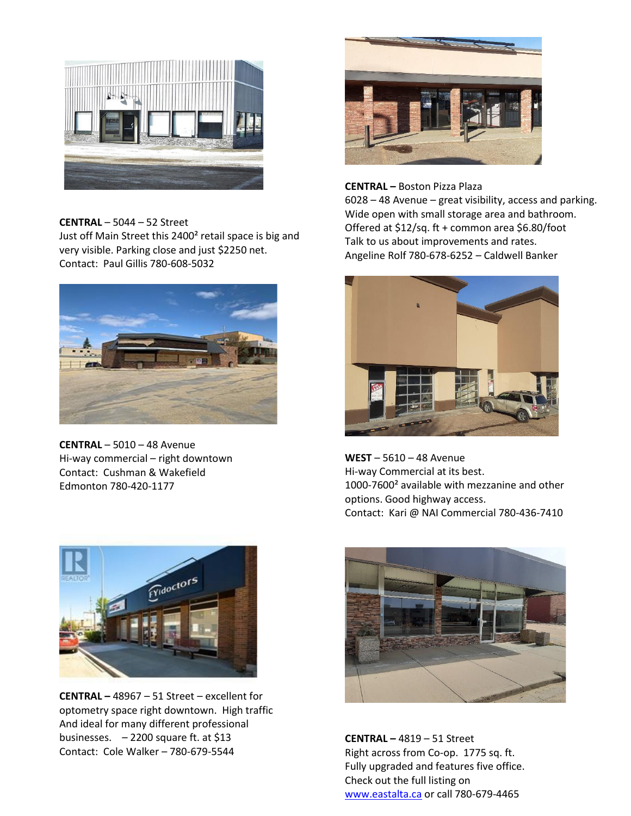

#### **CENTRAL** – 5044 – 52 Street

Just off Main Street this 2400<sup>2</sup> retail space is big and very visible. Parking close and just \$2250 net. Contact: Paul Gillis 780-608-5032



**CENTRAL** – 5010 – 48 Avenue Hi-way commercial – right downtown Contact: Cushman & Wakefield Edmonton 780-420-1177



## **CENTRAL –** Boston Pizza Plaza

6028 – 48 Avenue – great visibility, access and parking. Wide open with small storage area and bathroom. Offered at \$12/sq. ft + common area \$6.80/foot Talk to us about improvements and rates. Angeline Rolf 780-678-6252 – Caldwell Banker



**WEST** – 5610 – 48 Avenue Hi-way Commercial at its best. 1000-7600² available with mezzanine and other options. Good highway access. Contact: Kari @ NAI Commercial 780-436-7410



**CENTRAL –** 4819 – 51 Street Right across from Co-op. 1775 sq. ft. Fully upgraded and features five office. Check out the full listing on [www.eastalta.ca](http://www.eastalta.ca/) or call 780-679-4465



**CENTRAL –** 48967 – 51 Street – excellent for optometry space right downtown. High traffic And ideal for many different professional businesses.  $-2200$  square ft. at \$13 Contact: Cole Walker – 780-679-5544